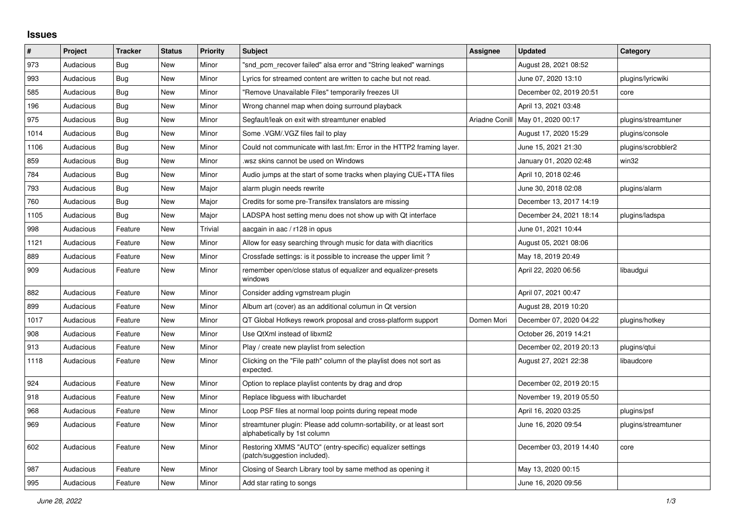## **Issues**

| #    | Project   | <b>Tracker</b> | <b>Status</b> | <b>Priority</b> | <b>Subject</b>                                                                                      | <b>Assignee</b> | <b>Updated</b>          | Category            |
|------|-----------|----------------|---------------|-----------------|-----------------------------------------------------------------------------------------------------|-----------------|-------------------------|---------------------|
| 973  | Audacious | Bug            | <b>New</b>    | Minor           | "snd pcm recover failed" alsa error and "String leaked" warnings                                    |                 | August 28, 2021 08:52   |                     |
| 993  | Audacious | Bug            | <b>New</b>    | Minor           | Lyrics for streamed content are written to cache but not read.                                      |                 | June 07, 2020 13:10     | plugins/lyricwiki   |
| 585  | Audacious | Bug            | <b>New</b>    | Minor           | "Remove Unavailable Files" temporarily freezes UI                                                   |                 | December 02, 2019 20:51 | core                |
| 196  | Audacious | <b>Bug</b>     | <b>New</b>    | Minor           | Wrong channel map when doing surround playback                                                      |                 | April 13, 2021 03:48    |                     |
| 975  | Audacious | Bug            | New           | Minor           | Segfault/leak on exit with streamtuner enabled                                                      | Ariadne Conill  | May 01, 2020 00:17      | plugins/streamtuner |
| 1014 | Audacious | Bug            | New           | Minor           | Some . VGM/. VGZ files fail to play                                                                 |                 | August 17, 2020 15:29   | plugins/console     |
| 1106 | Audacious | <b>Bug</b>     | <b>New</b>    | Minor           | Could not communicate with last.fm: Error in the HTTP2 framing layer.                               |                 | June 15, 2021 21:30     | plugins/scrobbler2  |
| 859  | Audacious | Bug            | <b>New</b>    | Minor           | wsz skins cannot be used on Windows                                                                 |                 | January 01, 2020 02:48  | win32               |
| 784  | Audacious | Bug            | <b>New</b>    | Minor           | Audio jumps at the start of some tracks when playing CUE+TTA files                                  |                 | April 10, 2018 02:46    |                     |
| 793  | Audacious | Bug            | <b>New</b>    | Major           | alarm plugin needs rewrite                                                                          |                 | June 30, 2018 02:08     | plugins/alarm       |
| 760  | Audacious | Bug            | <b>New</b>    | Major           | Credits for some pre-Transifex translators are missing                                              |                 | December 13, 2017 14:19 |                     |
| 1105 | Audacious | Bug            | <b>New</b>    | Major           | LADSPA host setting menu does not show up with Qt interface                                         |                 | December 24, 2021 18:14 | plugins/ladspa      |
| 998  | Audacious | Feature        | New           | Trivial         | aacgain in aac / r128 in opus                                                                       |                 | June 01, 2021 10:44     |                     |
| 1121 | Audacious | Feature        | New           | Minor           | Allow for easy searching through music for data with diacritics                                     |                 | August 05, 2021 08:06   |                     |
| 889  | Audacious | Feature        | New           | Minor           | Crossfade settings: is it possible to increase the upper limit?                                     |                 | May 18, 2019 20:49      |                     |
| 909  | Audacious | Feature        | <b>New</b>    | Minor           | remember open/close status of equalizer and equalizer-presets<br>windows                            |                 | April 22, 2020 06:56    | libaudgui           |
| 882  | Audacious | Feature        | <b>New</b>    | Minor           | Consider adding vgmstream plugin                                                                    |                 | April 07, 2021 00:47    |                     |
| 899  | Audacious | Feature        | <b>New</b>    | Minor           | Album art (cover) as an additional columun in Qt version                                            |                 | August 28, 2019 10:20   |                     |
| 1017 | Audacious | Feature        | <b>New</b>    | Minor           | QT Global Hotkeys rework proposal and cross-platform support                                        | Domen Mori      | December 07, 2020 04:22 | plugins/hotkey      |
| 908  | Audacious | Feature        | <b>New</b>    | Minor           | Use QtXml instead of libxml2                                                                        |                 | October 26, 2019 14:21  |                     |
| 913  | Audacious | Feature        | New           | Minor           | Play / create new playlist from selection                                                           |                 | December 02, 2019 20:13 | plugins/gtui        |
| 1118 | Audacious | Feature        | New           | Minor           | Clicking on the "File path" column of the playlist does not sort as<br>expected.                    |                 | August 27, 2021 22:38   | libaudcore          |
| 924  | Audacious | Feature        | New           | Minor           | Option to replace playlist contents by drag and drop                                                |                 | December 02, 2019 20:15 |                     |
| 918  | Audacious | Feature        | New           | Minor           | Replace libguess with libuchardet                                                                   |                 | November 19, 2019 05:50 |                     |
| 968  | Audacious | Feature        | <b>New</b>    | Minor           | Loop PSF files at normal loop points during repeat mode                                             |                 | April 16, 2020 03:25    | plugins/psf         |
| 969  | Audacious | Feature        | New           | Minor           | streamtuner plugin: Please add column-sortability, or at least sort<br>alphabetically by 1st column |                 | June 16, 2020 09:54     | plugins/streamtuner |
| 602  | Audacious | Feature        | <b>New</b>    | Minor           | Restoring XMMS "AUTO" (entry-specific) equalizer settings<br>(patch/suggestion included).           |                 | December 03, 2019 14:40 | core                |
| 987  | Audacious | Feature        | <b>New</b>    | Minor           | Closing of Search Library tool by same method as opening it                                         |                 | May 13, 2020 00:15      |                     |
| 995  | Audacious | Feature        | New           | Minor           | Add star rating to songs                                                                            |                 | June 16, 2020 09:56     |                     |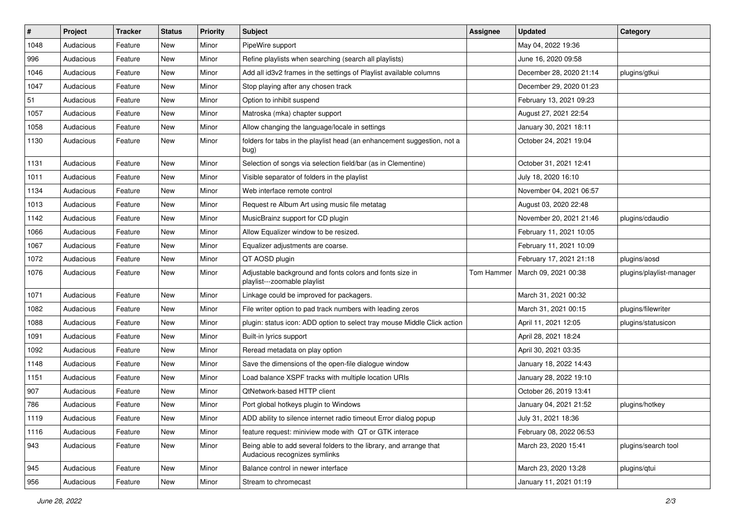| $\#$ | Project   | <b>Tracker</b> | <b>Status</b> | <b>Priority</b> | <b>Subject</b>                                                                                      | <b>Assignee</b> | <b>Updated</b>          | Category                 |
|------|-----------|----------------|---------------|-----------------|-----------------------------------------------------------------------------------------------------|-----------------|-------------------------|--------------------------|
| 1048 | Audacious | Feature        | New           | Minor           | PipeWire support                                                                                    |                 | May 04, 2022 19:36      |                          |
| 996  | Audacious | Feature        | <b>New</b>    | Minor           | Refine playlists when searching (search all playlists)                                              |                 | June 16, 2020 09:58     |                          |
| 1046 | Audacious | Feature        | New           | Minor           | Add all id3v2 frames in the settings of Playlist available columns                                  |                 | December 28, 2020 21:14 | plugins/gtkui            |
| 1047 | Audacious | Feature        | New           | Minor           | Stop playing after any chosen track                                                                 |                 | December 29, 2020 01:23 |                          |
| 51   | Audacious | Feature        | New           | Minor           | Option to inhibit suspend                                                                           |                 | February 13, 2021 09:23 |                          |
| 1057 | Audacious | Feature        | New           | Minor           | Matroska (mka) chapter support                                                                      |                 | August 27, 2021 22:54   |                          |
| 1058 | Audacious | Feature        | New           | Minor           | Allow changing the language/locale in settings                                                      |                 | January 30, 2021 18:11  |                          |
| 1130 | Audacious | Feature        | New           | Minor           | folders for tabs in the playlist head (an enhancement suggestion, not a<br>bug)                     |                 | October 24, 2021 19:04  |                          |
| 1131 | Audacious | Feature        | New           | Minor           | Selection of songs via selection field/bar (as in Clementine)                                       |                 | October 31, 2021 12:41  |                          |
| 1011 | Audacious | Feature        | New           | Minor           | Visible separator of folders in the playlist                                                        |                 | July 18, 2020 16:10     |                          |
| 1134 | Audacious | Feature        | New           | Minor           | Web interface remote control                                                                        |                 | November 04, 2021 06:57 |                          |
| 1013 | Audacious | Feature        | New           | Minor           | Request re Album Art using music file metatag                                                       |                 | August 03, 2020 22:48   |                          |
| 1142 | Audacious | Feature        | New           | Minor           | MusicBrainz support for CD plugin                                                                   |                 | November 20, 2021 21:46 | plugins/cdaudio          |
| 1066 | Audacious | Feature        | New           | Minor           | Allow Equalizer window to be resized.                                                               |                 | February 11, 2021 10:05 |                          |
| 1067 | Audacious | Feature        | New           | Minor           | Equalizer adjustments are coarse.                                                                   |                 | February 11, 2021 10:09 |                          |
| 1072 | Audacious | Feature        | New           | Minor           | QT AOSD plugin                                                                                      |                 | February 17, 2021 21:18 | plugins/aosd             |
| 1076 | Audacious | Feature        | New           | Minor           | Adjustable background and fonts colors and fonts size in<br>playlist---zoomable playlist            | Tom Hammer      | March 09, 2021 00:38    | plugins/playlist-manager |
| 1071 | Audacious | Feature        | New           | Minor           | Linkage could be improved for packagers.                                                            |                 | March 31, 2021 00:32    |                          |
| 1082 | Audacious | Feature        | New           | Minor           | File writer option to pad track numbers with leading zeros                                          |                 | March 31, 2021 00:15    | plugins/filewriter       |
| 1088 | Audacious | Feature        | New           | Minor           | plugin: status icon: ADD option to select tray mouse Middle Click action                            |                 | April 11, 2021 12:05    | plugins/statusicon       |
| 1091 | Audacious | Feature        | New           | Minor           | Built-in lyrics support                                                                             |                 | April 28, 2021 18:24    |                          |
| 1092 | Audacious | Feature        | New           | Minor           | Reread metadata on play option                                                                      |                 | April 30, 2021 03:35    |                          |
| 1148 | Audacious | Feature        | New           | Minor           | Save the dimensions of the open-file dialogue window                                                |                 | January 18, 2022 14:43  |                          |
| 1151 | Audacious | Feature        | New           | Minor           | Load balance XSPF tracks with multiple location URIs                                                |                 | January 28, 2022 19:10  |                          |
| 907  | Audacious | Feature        | New           | Minor           | QtNetwork-based HTTP client                                                                         |                 | October 26, 2019 13:41  |                          |
| 786  | Audacious | Feature        | <b>New</b>    | Minor           | Port global hotkeys plugin to Windows                                                               |                 | January 04, 2021 21:52  | plugins/hotkey           |
| 1119 | Audacious | Feature        | New           | Minor           | ADD ability to silence internet radio timeout Error dialog popup                                    |                 | July 31, 2021 18:36     |                          |
| 1116 | Audacious | Feature        | New           | Minor           | feature request: miniview mode with QT or GTK interace                                              |                 | February 08, 2022 06:53 |                          |
| 943  | Audacious | Feature        | New           | Minor           | Being able to add several folders to the library, and arrange that<br>Audacious recognizes symlinks |                 | March 23, 2020 15:41    | plugins/search tool      |
| 945  | Audacious | Feature        | New           | Minor           | Balance control in newer interface                                                                  |                 | March 23, 2020 13:28    | plugins/qtui             |
| 956  | Audacious | Feature        | New           | Minor           | Stream to chromecast                                                                                |                 | January 11, 2021 01:19  |                          |